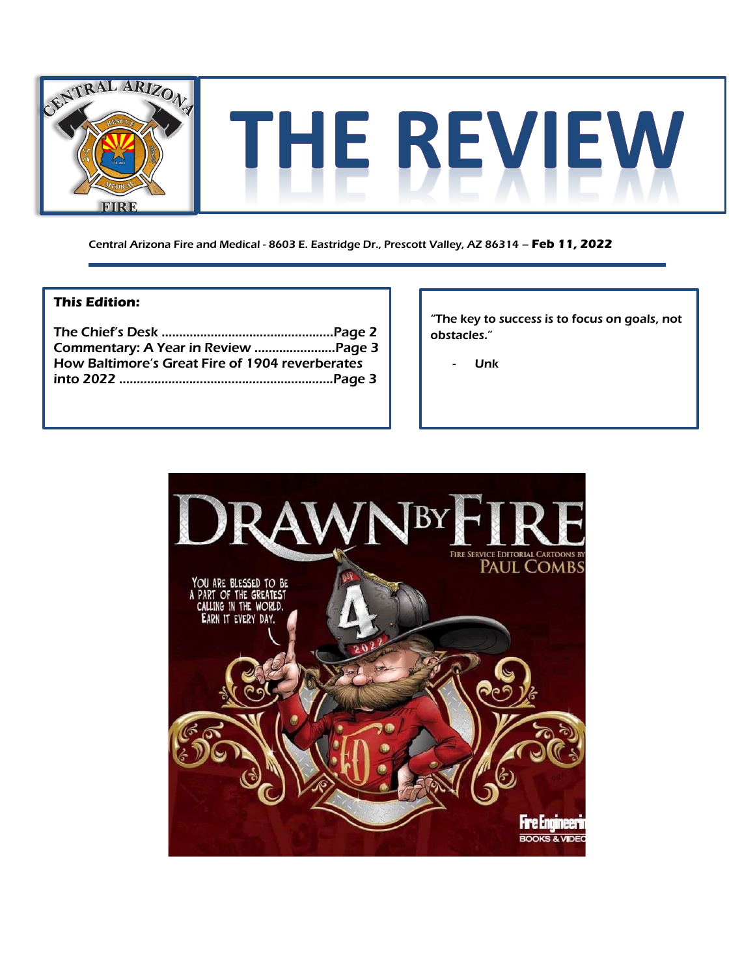

Central Arizona Fire and Medical - 8603 E. Eastridge Dr., Prescott Valley, AZ 86314 – **Feb 11, 2022**

### **This Edition:**

| How Baltimore's Great Fire of 1904 reverberates |  |
|-------------------------------------------------|--|
|                                                 |  |

"The key to success is to focus on goals, not obstacles."

**Unk** 

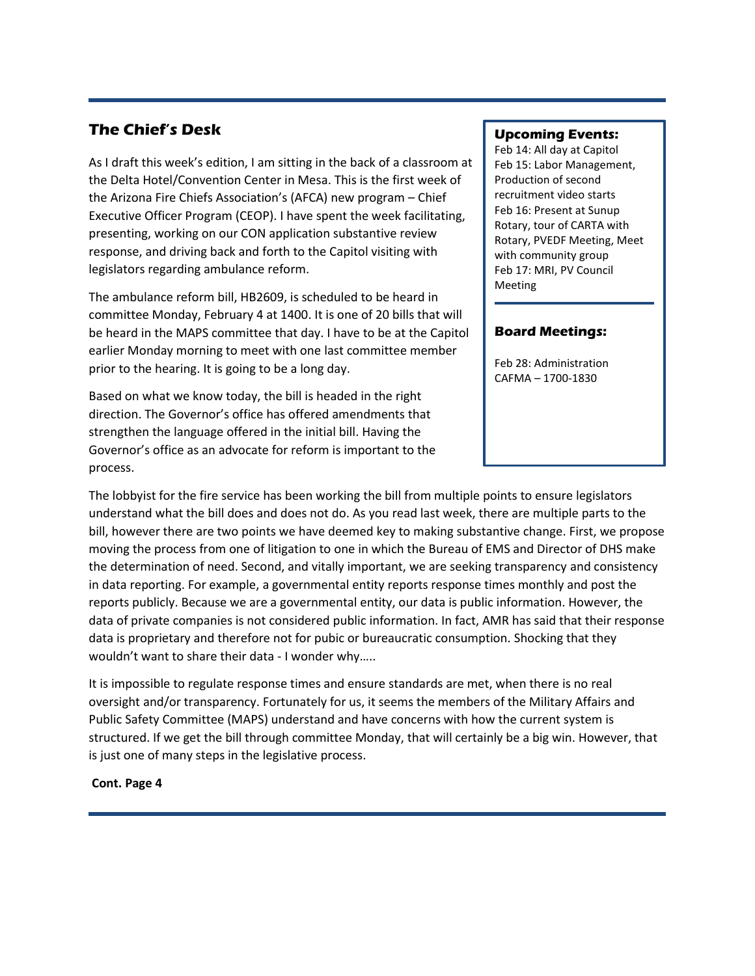### **The Chief's Desk**

As I draft this week's edition, I am sitting in the back of a classroom at the Delta Hotel/Convention Center in Mesa. This is the first week of the Arizona Fire Chiefs Association's (AFCA) new program – Chief Executive Officer Program (CEOP). I have spent the week facilitating, presenting, working on our CON application substantive review response, and driving back and forth to the Capitol visiting with legislators regarding ambulance reform.

The ambulance reform bill, HB2609, is scheduled to be heard in committee Monday, February 4 at 1400. It is one of 20 bills that will be heard in the MAPS committee that day. I have to be at the Capitol earlier Monday morning to meet with one last committee member prior to the hearing. It is going to be a long day.

Based on what we know today, the bill is headed in the right direction. The Governor's office has offered amendments that strengthen the language offered in the initial bill. Having the Governor's office as an advocate for reform is important to the process.

### **Upcoming Events:**

Feb 14: All day at Capitol Feb 15: Labor Management, Production of second recruitment video starts Feb 16: Present at Sunup Rotary, tour of CARTA with Rotary, PVEDF Meeting, Meet with community group Feb 17: MRI, PV Council Meeting

### **Board Meetings:**

Feb 28: Administration CAFMA – 1700-1830

The lobbyist for the fire service has been working the bill from multiple points to ensure legislators understand what the bill does and does not do. As you read last week, there are multiple parts to the bill, however there are two points we have deemed key to making substantive change. First, we propose moving the process from one of litigation to one in which the Bureau of EMS and Director of DHS make the determination of need. Second, and vitally important, we are seeking transparency and consistency in data reporting. For example, a governmental entity reports response times monthly and post the reports publicly. Because we are a governmental entity, our data is public information. However, the data of private companies is not considered public information. In fact, AMR has said that their response data is proprietary and therefore not for pubic or bureaucratic consumption. Shocking that they wouldn't want to share their data - I wonder why…..

It is impossible to regulate response times and ensure standards are met, when there is no real oversight and/or transparency. Fortunately for us, it seems the members of the Military Affairs and Public Safety Committee (MAPS) understand and have concerns with how the current system is structured. If we get the bill through committee Monday, that will certainly be a big win. However, that is just one of many steps in the legislative process.

### **Cont. Page 4**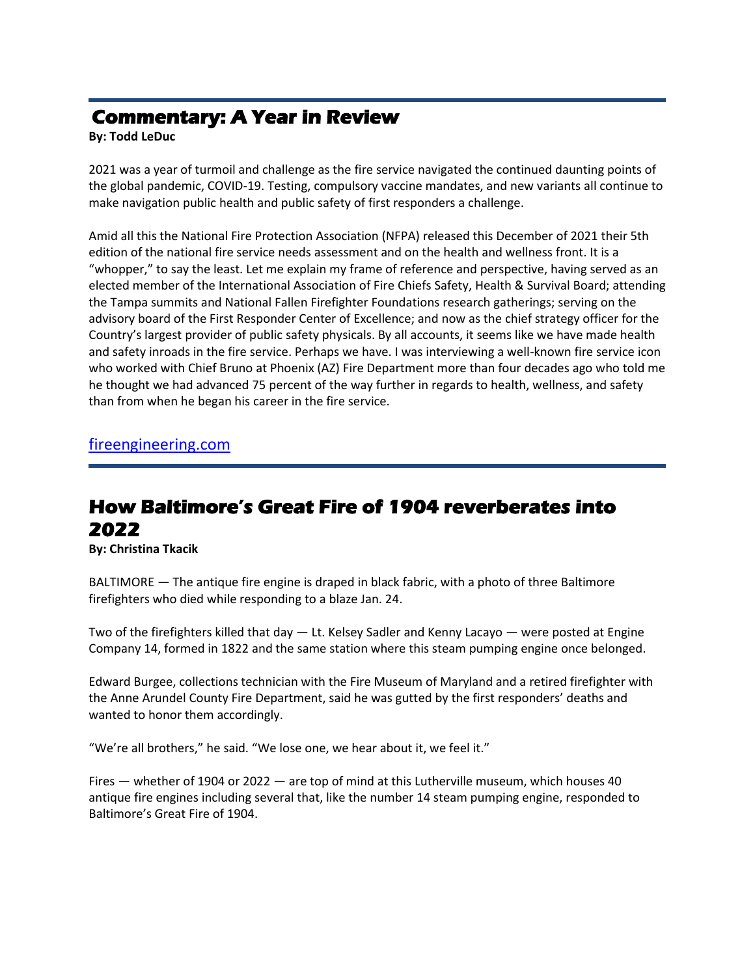## **Commentary: A Year in Review**

**By: Todd LeDuc**

2021 was a year of turmoil and challenge as the fire service navigated the continued daunting points of the global pandemic, COVID-19. Testing, compulsory vaccine mandates, and new variants all continue to make navigation public health and public safety of first responders a challenge.

Amid all this the National Fire Protection Association (NFPA) released this December of 2021 their 5th edition of the national fire service needs assessment and on the health and wellness front. It is a "whopper," to say the least. Let me explain my frame of reference and perspective, having served as an elected member of the International Association of Fire Chiefs Safety, Health & Survival Board; attending the Tampa summits and National Fallen Firefighter Foundations research gatherings; serving on the advisory board of the First Responder Center of Excellence; and now as the chief strategy officer for the Country's largest provider of public safety physicals. By all accounts, it seems like we have made health and safety inroads in the fire service. Perhaps we have. I was interviewing a well-known fire service icon who worked with Chief Bruno at Phoenix (AZ) Fire Department more than four decades ago who told me he thought we had advanced 75 percent of the way further in regards to health, wellness, and safety than from when he began his career in the fire service.

[fireengineering.com](https://www.fireengineering.com/health-safety/commentary-fire-service-health-year-in-review/)

# **How Baltimore's Great Fire of 1904 reverberates into 2022**

**By: Christina Tkacik**

BALTIMORE — The antique fire engine is draped in black fabric, with a photo of three Baltimore firefighters who died while responding to a blaze Jan. 24.

Two of the firefighters killed that day  $-$  Lt. Kelsey Sadler and Kenny Lacayo  $-$  were posted at Engine Company 14, formed in 1822 and the same station where this steam pumping engine once belonged.

Edward Burgee, collections technician with the Fire Museum of Maryland and a retired firefighter with the Anne Arundel County Fire Department, said he was gutted by the first responders' deaths and wanted to honor them accordingly.

"We're all brothers," he said. "We lose one, we hear about it, we feel it."

Fires — whether of 1904 or 2022 — are top of mind at this Lutherville museum, which houses 40 antique fire engines including several that, like the number 14 steam pumping engine, responded to Baltimore's Great Fire of 1904.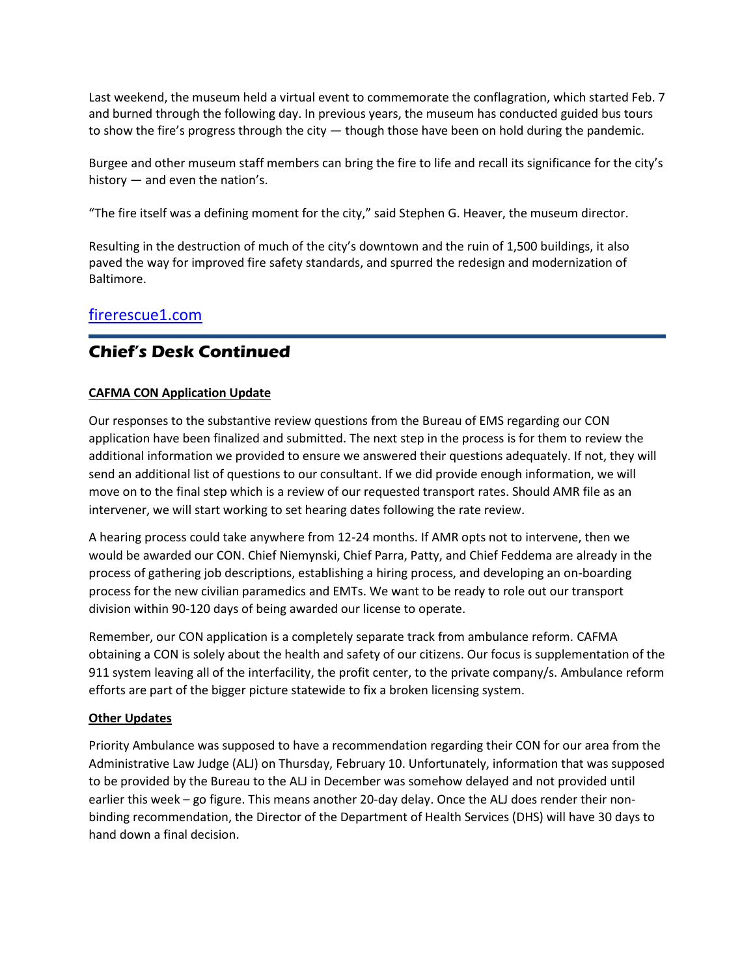Last weekend, the museum held a virtual event to commemorate the conflagration, which started Feb. 7 and burned through the following day. In previous years, the museum has conducted guided bus tours to show the fire's progress through the city — though those have been on hold during the pandemic.

Burgee and other museum staff members can bring the fire to life and recall its significance for the city's history — and even the nation's.

"The fire itself was a defining moment for the city," said Stephen G. Heaver, the museum director.

Resulting in the destruction of much of the city's downtown and the ruin of 1,500 buildings, it also paved the way for improved fire safety standards, and spurred the redesign and modernization of Baltimore.

### [firerescue1.com](https://www.firerescue1.com/fallen-firefighters/articles/how-baltimores-great-fire-of-1904-reverberates-into-2022-qUAT5gaL9fhE3ox7/)

## **Chief's Desk Continued**

### **CAFMA CON Application Update**

Our responses to the substantive review questions from the Bureau of EMS regarding our CON application have been finalized and submitted. The next step in the process is for them to review the additional information we provided to ensure we answered their questions adequately. If not, they will send an additional list of questions to our consultant. If we did provide enough information, we will move on to the final step which is a review of our requested transport rates. Should AMR file as an intervener, we will start working to set hearing dates following the rate review.

A hearing process could take anywhere from 12-24 months. If AMR opts not to intervene, then we would be awarded our CON. Chief Niemynski, Chief Parra, Patty, and Chief Feddema are already in the process of gathering job descriptions, establishing a hiring process, and developing an on-boarding process for the new civilian paramedics and EMTs. We want to be ready to role out our transport division within 90-120 days of being awarded our license to operate.

Remember, our CON application is a completely separate track from ambulance reform. CAFMA obtaining a CON is solely about the health and safety of our citizens. Our focus is supplementation of the 911 system leaving all of the interfacility, the profit center, to the private company/s. Ambulance reform efforts are part of the bigger picture statewide to fix a broken licensing system.

### **Other Updates**

Priority Ambulance was supposed to have a recommendation regarding their CON for our area from the Administrative Law Judge (ALJ) on Thursday, February 10. Unfortunately, information that was supposed to be provided by the Bureau to the ALJ in December was somehow delayed and not provided until earlier this week – go figure. This means another 20-day delay. Once the ALJ does render their nonbinding recommendation, the Director of the Department of Health Services (DHS) will have 30 days to hand down a final decision.